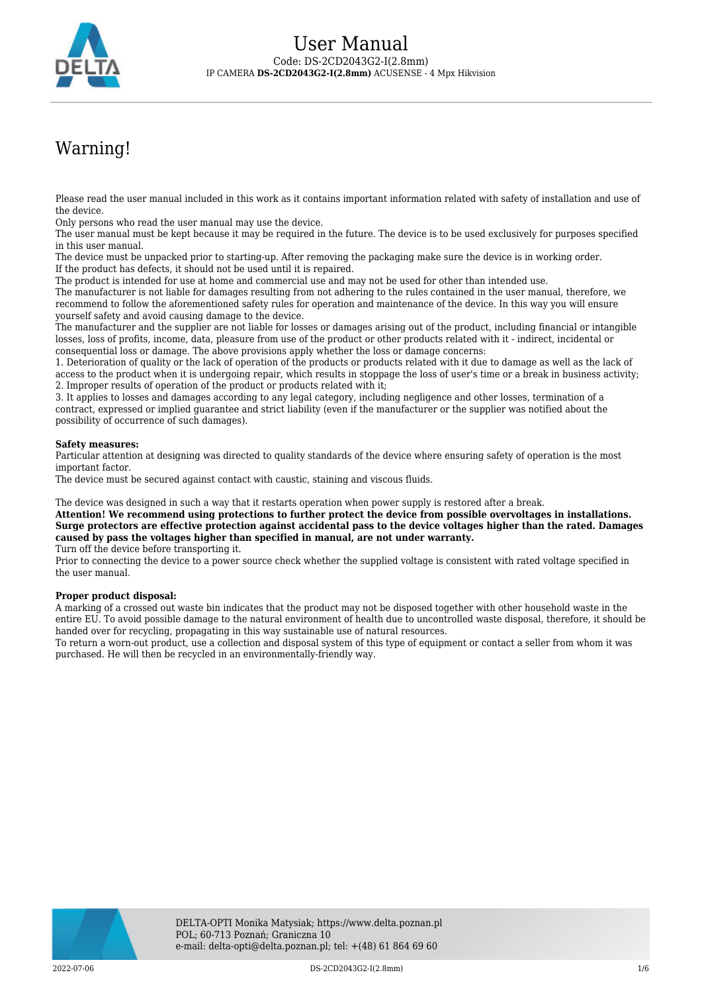

# Warning!

Please read the user manual included in this work as it contains important information related with safety of installation and use of the device.

Only persons who read the user manual may use the device.

The user manual must be kept because it may be required in the future. The device is to be used exclusively for purposes specified in this user manual.

The device must be unpacked prior to starting-up. After removing the packaging make sure the device is in working order. If the product has defects, it should not be used until it is repaired.

The product is intended for use at home and commercial use and may not be used for other than intended use.

The manufacturer is not liable for damages resulting from not adhering to the rules contained in the user manual, therefore, we recommend to follow the aforementioned safety rules for operation and maintenance of the device. In this way you will ensure yourself safety and avoid causing damage to the device.

The manufacturer and the supplier are not liable for losses or damages arising out of the product, including financial or intangible losses, loss of profits, income, data, pleasure from use of the product or other products related with it - indirect, incidental or consequential loss or damage. The above provisions apply whether the loss or damage concerns:

1. Deterioration of quality or the lack of operation of the products or products related with it due to damage as well as the lack of access to the product when it is undergoing repair, which results in stoppage the loss of user's time or a break in business activity; 2. Improper results of operation of the product or products related with it;

3. It applies to losses and damages according to any legal category, including negligence and other losses, termination of a contract, expressed or implied guarantee and strict liability (even if the manufacturer or the supplier was notified about the possibility of occurrence of such damages).

#### **Safety measures:**

Particular attention at designing was directed to quality standards of the device where ensuring safety of operation is the most important factor.

The device must be secured against contact with caustic, staining and viscous fluids.

The device was designed in such a way that it restarts operation when power supply is restored after a break.

**Attention! We recommend using protections to further protect the device from possible overvoltages in installations. Surge protectors are effective protection against accidental pass to the device voltages higher than the rated. Damages caused by pass the voltages higher than specified in manual, are not under warranty.** Turn off the device before transporting it.

Prior to connecting the device to a power source check whether the supplied voltage is consistent with rated voltage specified in the user manual.

#### **Proper product disposal:**

A marking of a crossed out waste bin indicates that the product may not be disposed together with other household waste in the entire EU. To avoid possible damage to the natural environment of health due to uncontrolled waste disposal, therefore, it should be handed over for recycling, propagating in this way sustainable use of natural resources.

To return a worn-out product, use a collection and disposal system of this type of equipment or contact a seller from whom it was purchased. He will then be recycled in an environmentally-friendly way.

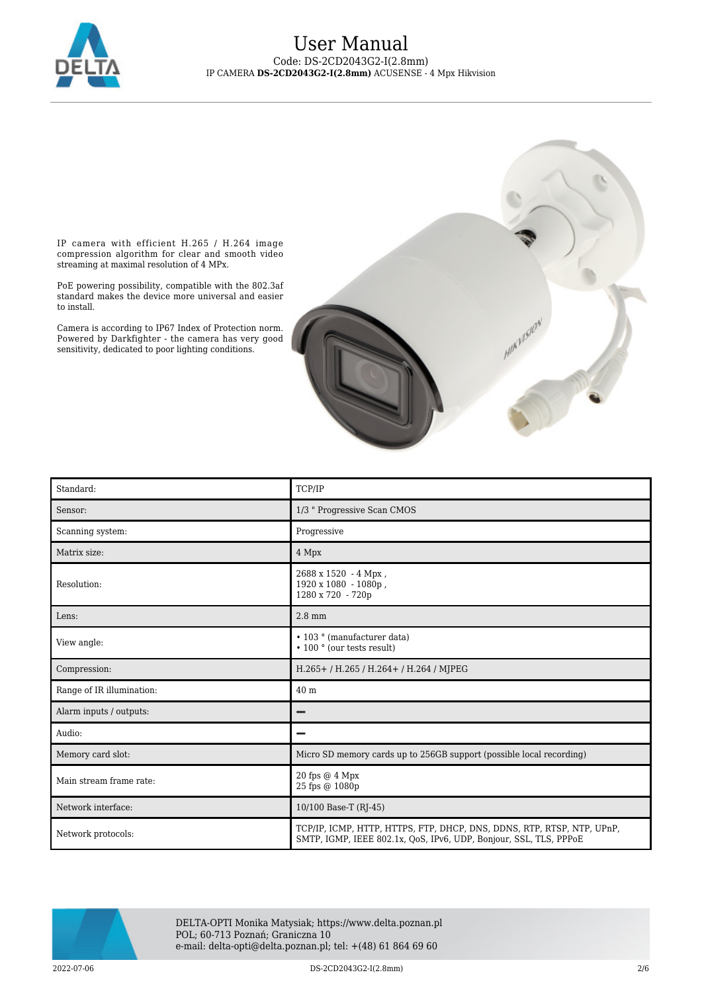

## User Manual Code: DS-2CD2043G2-I(2.8mm) IP CAMERA **DS-2CD2043G2-I(2.8mm)** ACUSENSE - 4 Mpx Hikvision

IP camera with efficient H.265 / H.264 image compression algorithm for clear and smooth video streaming at maximal resolution of 4 MPx.

PoE powering possibility, compatible with the 802.3af standard makes the device more universal and easier to install.

Camera is according to IP67 Index of Protection norm. Powered by Darkfighter - the camera has very good sensitivity, dedicated to poor lighting conditions.

| Standard:                 | TCP/IP                                                                                                                                      |
|---------------------------|---------------------------------------------------------------------------------------------------------------------------------------------|
| Sensor:                   | 1/3 " Progressive Scan CMOS                                                                                                                 |
| Scanning system:          | Progressive                                                                                                                                 |
| Matrix size:              | 4 Mpx                                                                                                                                       |
| Resolution:               | 2688 x 1520 - 4 Mpx,<br>1920 x 1080 - 1080p,<br>1280 x 720 - 720p                                                                           |
| Lens:                     | $2.8$ mm                                                                                                                                    |
| View angle:               | • 103 ° (manufacturer data)<br>• 100 ° (our tests result)                                                                                   |
| Compression:              | H.265+ / H.265 / H.264+ / H.264 / MJPEG                                                                                                     |
| Range of IR illumination: | 40 m                                                                                                                                        |
| Alarm inputs / outputs:   |                                                                                                                                             |
| Audio:                    |                                                                                                                                             |
| Memory card slot:         | Micro SD memory cards up to 256GB support (possible local recording)                                                                        |
| Main stream frame rate:   | 20 fps @ 4 Mpx<br>25 fps @ 1080p                                                                                                            |
| Network interface:        | 10/100 Base-T (RJ-45)                                                                                                                       |
| Network protocols:        | TCP/IP, ICMP, HTTP, HTTPS, FTP, DHCP, DNS, DDNS, RTP, RTSP, NTP, UPnP,<br>SMTP, IGMP, IEEE 802.1x, QoS, IPv6, UDP, Bonjour, SSL, TLS, PPPoE |



DELTA-OPTI Monika Matysiak; https://www.delta.poznan.pl POL; 60-713 Poznań; Graniczna 10 e-mail: delta-opti@delta.poznan.pl; tel: +(48) 61 864 69 60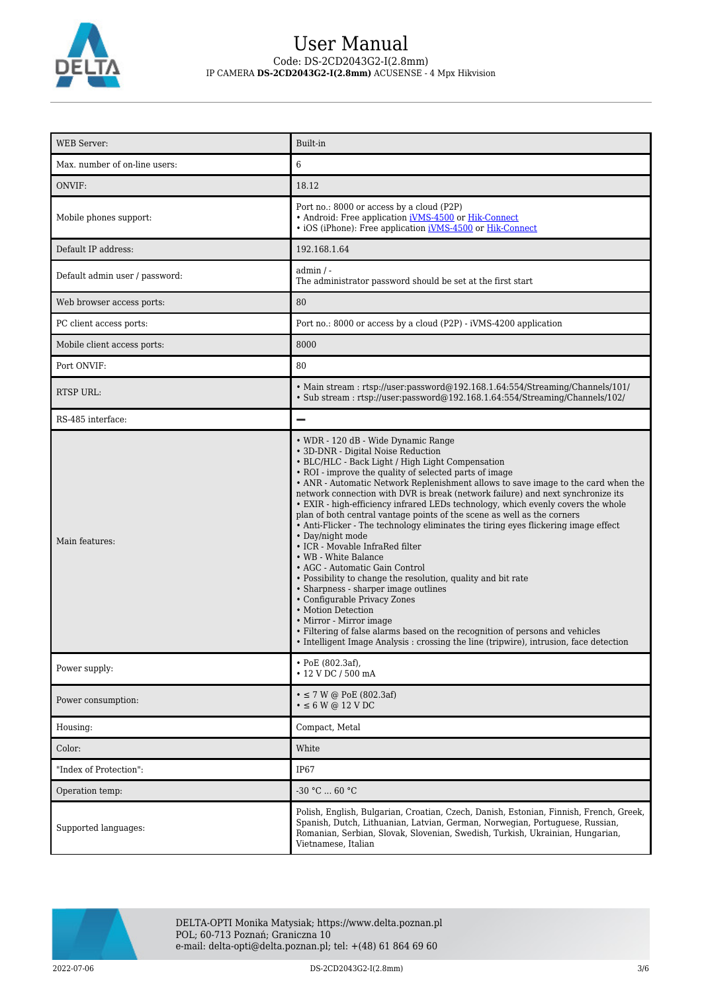

## User Manual Code: DS-2CD2043G2-I(2.8mm) IP CAMERA **DS-2CD2043G2-I(2.8mm)** ACUSENSE - 4 Mpx Hikvision

| <b>WEB Server:</b>             | Built-in                                                                                                                                                                                                                                                                                                                                                                                                                                                                                                                                                                                                                                                                                                                                                                                                                                                                                                                                                                                                                                                                                                 |
|--------------------------------|----------------------------------------------------------------------------------------------------------------------------------------------------------------------------------------------------------------------------------------------------------------------------------------------------------------------------------------------------------------------------------------------------------------------------------------------------------------------------------------------------------------------------------------------------------------------------------------------------------------------------------------------------------------------------------------------------------------------------------------------------------------------------------------------------------------------------------------------------------------------------------------------------------------------------------------------------------------------------------------------------------------------------------------------------------------------------------------------------------|
| Max. number of on-line users:  | 6                                                                                                                                                                                                                                                                                                                                                                                                                                                                                                                                                                                                                                                                                                                                                                                                                                                                                                                                                                                                                                                                                                        |
| ONVIF:                         | 18.12                                                                                                                                                                                                                                                                                                                                                                                                                                                                                                                                                                                                                                                                                                                                                                                                                                                                                                                                                                                                                                                                                                    |
| Mobile phones support:         | Port no.: 8000 or access by a cloud (P2P)<br>• Android: Free application iVMS-4500 or Hik-Connect<br>• iOS (iPhone): Free application <i>iVMS-4500</i> or <i>Hik-Connect</i>                                                                                                                                                                                                                                                                                                                                                                                                                                                                                                                                                                                                                                                                                                                                                                                                                                                                                                                             |
| Default IP address:            | 192.168.1.64                                                                                                                                                                                                                                                                                                                                                                                                                                                                                                                                                                                                                                                                                                                                                                                                                                                                                                                                                                                                                                                                                             |
| Default admin user / password: | $admin / -$<br>The administrator password should be set at the first start                                                                                                                                                                                                                                                                                                                                                                                                                                                                                                                                                                                                                                                                                                                                                                                                                                                                                                                                                                                                                               |
| Web browser access ports:      | 80                                                                                                                                                                                                                                                                                                                                                                                                                                                                                                                                                                                                                                                                                                                                                                                                                                                                                                                                                                                                                                                                                                       |
| PC client access ports:        | Port no.: 8000 or access by a cloud (P2P) - iVMS-4200 application                                                                                                                                                                                                                                                                                                                                                                                                                                                                                                                                                                                                                                                                                                                                                                                                                                                                                                                                                                                                                                        |
| Mobile client access ports:    | 8000                                                                                                                                                                                                                                                                                                                                                                                                                                                                                                                                                                                                                                                                                                                                                                                                                                                                                                                                                                                                                                                                                                     |
| Port ONVIF:                    | 80                                                                                                                                                                                                                                                                                                                                                                                                                                                                                                                                                                                                                                                                                                                                                                                                                                                                                                                                                                                                                                                                                                       |
| RTSP URL:                      | • Main stream: rtsp://user:password@192.168.1.64:554/Streaming/Channels/101/<br>• Sub stream: rtsp://user.password@192.168.1.64.554/Streaming/Channels/102/                                                                                                                                                                                                                                                                                                                                                                                                                                                                                                                                                                                                                                                                                                                                                                                                                                                                                                                                              |
| RS-485 interface:              | $\overline{\phantom{0}}$                                                                                                                                                                                                                                                                                                                                                                                                                                                                                                                                                                                                                                                                                                                                                                                                                                                                                                                                                                                                                                                                                 |
| Main features:                 | • WDR - 120 dB - Wide Dynamic Range<br>• 3D-DNR - Digital Noise Reduction<br>• BLC/HLC - Back Light / High Light Compensation<br>• ROI - improve the quality of selected parts of image<br>• ANR - Automatic Network Replenishment allows to save image to the card when the<br>network connection with DVR is break (network failure) and next synchronize its<br>• EXIR - high-efficiency infrared LEDs technology, which evenly covers the whole<br>plan of both central vantage points of the scene as well as the corners<br>• Anti-Flicker - The technology eliminates the tiring eyes flickering image effect<br>• Day/night mode<br>• ICR - Movable InfraRed filter<br>• WB - White Balance<br>• AGC - Automatic Gain Control<br>• Possibility to change the resolution, quality and bit rate<br>• Sharpness - sharper image outlines<br>• Configurable Privacy Zones<br>• Motion Detection<br>• Mirror - Mirror image<br>• Filtering of false alarms based on the recognition of persons and vehicles<br>• Intelligent Image Analysis : crossing the line (tripwire), intrusion, face detection |
| Power supply:                  | • PoE (802.3af),<br>• 12 V DC / 500 mA                                                                                                                                                                                                                                                                                                                                                                                                                                                                                                                                                                                                                                                                                                                                                                                                                                                                                                                                                                                                                                                                   |
| Power consumption:             | $\bullet \le 7$ W @ PoE (802.3af)<br>$\cdot$ $\leq$ 6 W @ 12 V DC                                                                                                                                                                                                                                                                                                                                                                                                                                                                                                                                                                                                                                                                                                                                                                                                                                                                                                                                                                                                                                        |
| Housing:                       | Compact, Metal                                                                                                                                                                                                                                                                                                                                                                                                                                                                                                                                                                                                                                                                                                                                                                                                                                                                                                                                                                                                                                                                                           |
| Color:                         | White                                                                                                                                                                                                                                                                                                                                                                                                                                                                                                                                                                                                                                                                                                                                                                                                                                                                                                                                                                                                                                                                                                    |
| "Index of Protection":         | <b>IP67</b>                                                                                                                                                                                                                                                                                                                                                                                                                                                                                                                                                                                                                                                                                                                                                                                                                                                                                                                                                                                                                                                                                              |
| Operation temp:                | $-30 °C$ 60 °C                                                                                                                                                                                                                                                                                                                                                                                                                                                                                                                                                                                                                                                                                                                                                                                                                                                                                                                                                                                                                                                                                           |
| Supported languages:           | Polish, English, Bulgarian, Croatian, Czech, Danish, Estonian, Finnish, French, Greek,<br>Spanish, Dutch, Lithuanian, Latvian, German, Norwegian, Portuguese, Russian,<br>Romanian, Serbian, Slovak, Slovenian, Swedish, Turkish, Ukrainian, Hungarian,<br>Vietnamese, Italian                                                                                                                                                                                                                                                                                                                                                                                                                                                                                                                                                                                                                                                                                                                                                                                                                           |



DELTA-OPTI Monika Matysiak; https://www.delta.poznan.pl POL; 60-713 Poznań; Graniczna 10 e-mail: delta-opti@delta.poznan.pl; tel: +(48) 61 864 69 60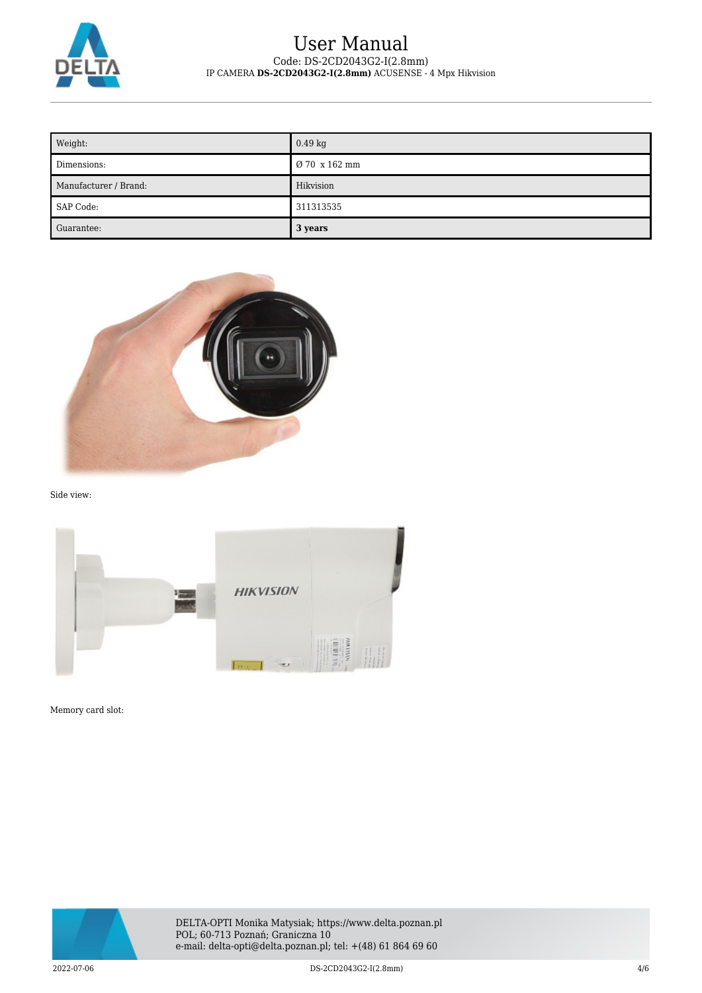

## User Manual Code: DS-2CD2043G2-I(2.8mm) IP CAMERA **DS-2CD2043G2-I(2.8mm)** ACUSENSE - 4 Mpx Hikvision

| Weight:               | $0.49$ kg     |
|-----------------------|---------------|
| Dimensions:           | Ø 70 x 162 mm |
| Manufacturer / Brand: | Hikvision     |
| SAP Code:             | 311313535     |
| Guarantee:            | 3 years       |



Side view:



Memory card slot:

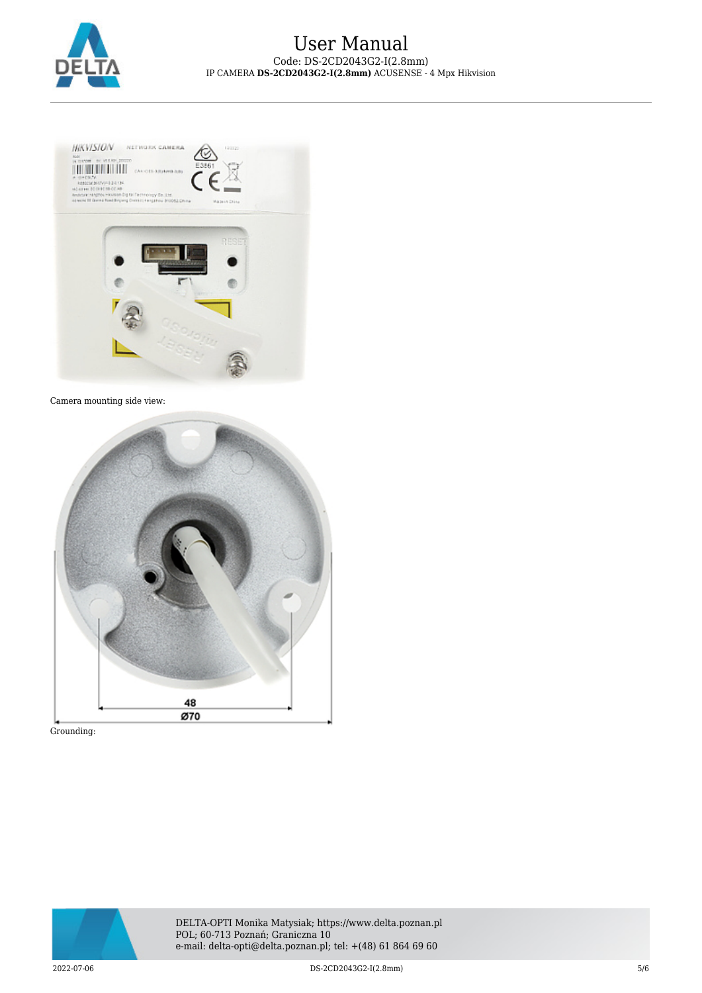



#### Camera mounting side view:



Grounding: